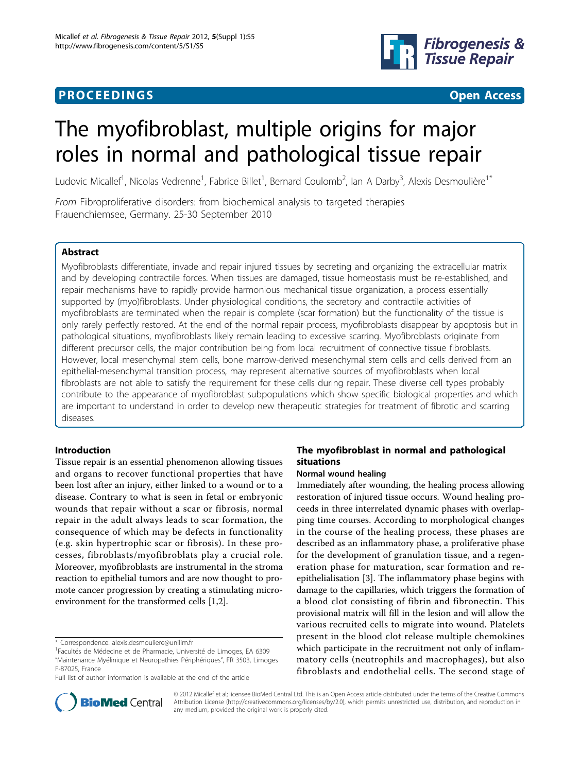# **PROCEEDINGS CONSUMING S** Open Access **CONSUMING S**



# The myofibroblast, multiple origins for major roles in normal and pathological tissue repair

Ludovic Micallef<sup>1</sup>, Nicolas Vedrenne<sup>1</sup>, Fabrice Billet<sup>1</sup>, Bernard Coulomb<sup>2</sup>, Ian A Darby<sup>3</sup>, Alexis Desmoulière<sup>1\*</sup>

From Fibroproliferative disorders: from biochemical analysis to targeted therapies Frauenchiemsee, Germany. 25-30 September 2010

# Abstract

Myofibroblasts differentiate, invade and repair injured tissues by secreting and organizing the extracellular matrix and by developing contractile forces. When tissues are damaged, tissue homeostasis must be re-established, and repair mechanisms have to rapidly provide harmonious mechanical tissue organization, a process essentially supported by (myo)fibroblasts. Under physiological conditions, the secretory and contractile activities of myofibroblasts are terminated when the repair is complete (scar formation) but the functionality of the tissue is only rarely perfectly restored. At the end of the normal repair process, myofibroblasts disappear by apoptosis but in pathological situations, myofibroblasts likely remain leading to excessive scarring. Myofibroblasts originate from different precursor cells, the major contribution being from local recruitment of connective tissue fibroblasts. However, local mesenchymal stem cells, bone marrow-derived mesenchymal stem cells and cells derived from an epithelial-mesenchymal transition process, may represent alternative sources of myofibroblasts when local fibroblasts are not able to satisfy the requirement for these cells during repair. These diverse cell types probably contribute to the appearance of myofibroblast subpopulations which show specific biological properties and which are important to understand in order to develop new therapeutic strategies for treatment of fibrotic and scarring diseases.

# Introduction

Tissue repair is an essential phenomenon allowing tissues and organs to recover functional properties that have been lost after an injury, either linked to a wound or to a disease. Contrary to what is seen in fetal or embryonic wounds that repair without a scar or fibrosis, normal repair in the adult always leads to scar formation, the consequence of which may be defects in functionality (e.g. skin hypertrophic scar or fibrosis). In these processes, fibroblasts/myofibroblats play a crucial role. Moreover, myofibroblasts are instrumental in the stroma reaction to epithelial tumors and are now thought to promote cancer progression by creating a stimulating microenvironment for the transformed cells [\[1,2](#page-4-0)].

# The myofibroblast in normal and pathological situations

# Normal wound healing

Immediately after wounding, the healing process allowing restoration of injured tissue occurs. Wound healing proceeds in three interrelated dynamic phases with overlapping time courses. According to morphological changes in the course of the healing process, these phases are described as an inflammatory phase, a proliferative phase for the development of granulation tissue, and a regeneration phase for maturation, scar formation and reepithelialisation [\[3](#page-4-0)]. The inflammatory phase begins with damage to the capillaries, which triggers the formation of a blood clot consisting of fibrin and fibronectin. This provisional matrix will fill in the lesion and will allow the various recruited cells to migrate into wound. Platelets present in the blood clot release multiple chemokines which participate in the recruitment not only of inflammatory cells (neutrophils and macrophages), but also fibroblasts and endothelial cells. The second stage of



© 2012 Micallef et al; licensee BioMed Central Ltd. This is an Open Access article distributed under the terms of the Creative Commons Attribution License [\(http://creativecommons.org/licenses/by/2.0](http://creativecommons.org/licenses/by/2.0)), which permits unrestricted use, distribution, and reproduction in any medium, provided the original work is properly cited.

<sup>\*</sup> Correspondence: [alexis.desmouliere@unilim.fr](mailto:alexis.desmouliere@unilim.fr)

<sup>&</sup>lt;sup>1</sup>Facultés de Médecine et de Pharmacie, Université de Limoges, EA 6309 "Maintenance Myélinique et Neuropathies Périphériques", FR 3503, Limoges F-87025, France

Full list of author information is available at the end of the article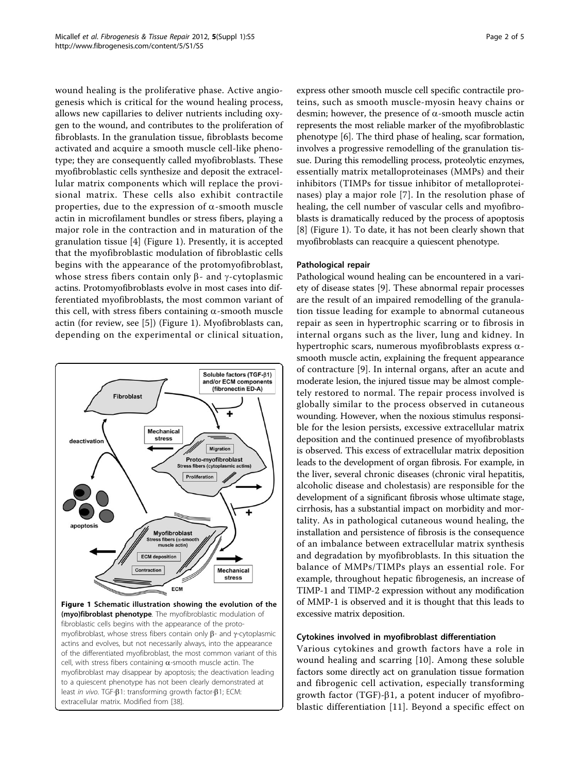wound healing is the proliferative phase. Active angiogenesis which is critical for the wound healing process, allows new capillaries to deliver nutrients including oxygen to the wound, and contributes to the proliferation of fibroblasts. In the granulation tissue, fibroblasts become activated and acquire a smooth muscle cell-like phenotype; they are consequently called myofibroblasts. These myofibroblastic cells synthesize and deposit the extracellular matrix components which will replace the provisional matrix. These cells also exhibit contractile properties, due to the expression of  $\alpha$ -smooth muscle actin in microfilament bundles or stress fibers, playing a major role in the contraction and in maturation of the granulation tissue [[4\]](#page-4-0) (Figure 1). Presently, it is accepted that the myofibroblastic modulation of fibroblastic cells begins with the appearance of the protomyofibroblast, whose stress fibers contain only  $\beta$ - and  $\gamma$ -cytoplasmic actins. Protomyofibroblasts evolve in most cases into differentiated myofibroblasts, the most common variant of this cell, with stress fibers containing  $\alpha$ -smooth muscle actin (for review, see [[5\]](#page-4-0)) (Figure 1). Myofibroblasts can, depending on the experimental or clinical situation,



fibroblastic cells begins with the appearance of the protomyofibroblast, whose stress fibers contain only  $\beta$ - and  $\gamma$ -cytoplasmic actins and evolves, but not necessarily always, into the appearance of the differentiated myofibroblast, the most common variant of this cell, with stress fibers containing  $\alpha$ -smooth muscle actin. The myofibroblast may disappear by apoptosis; the deactivation leading to a quiescent phenotype has not been clearly demonstrated at least in vivo. TGF- $\beta$ 1: transforming growth factor- $\beta$ 1; ECM: extracellular matrix. Modified from [[38](#page-4-0)].

express other smooth muscle cell specific contractile proteins, such as smooth muscle-myosin heavy chains or desmin; however, the presence of  $\alpha$ -smooth muscle actin represents the most reliable marker of the myofibroblastic phenotype [[6\]](#page-4-0). The third phase of healing, scar formation, involves a progressive remodelling of the granulation tissue. During this remodelling process, proteolytic enzymes, essentially matrix metalloproteinases (MMPs) and their inhibitors (TIMPs for tissue inhibitor of metalloproteinases) play a major role [[7\]](#page-4-0). In the resolution phase of healing, the cell number of vascular cells and myofibroblasts is dramatically reduced by the process of apoptosis [[8\]](#page-4-0) (Figure 1). To date, it has not been clearly shown that myofibroblasts can reacquire a quiescent phenotype.

# Pathological repair

Pathological wound healing can be encountered in a variety of disease states [[9\]](#page-4-0). These abnormal repair processes are the result of an impaired remodelling of the granulation tissue leading for example to abnormal cutaneous repair as seen in hypertrophic scarring or to fibrosis in internal organs such as the liver, lung and kidney. In hypertrophic scars, numerous myofibroblasts express  $\alpha$ smooth muscle actin, explaining the frequent appearance of contracture [[9](#page-4-0)]. In internal organs, after an acute and moderate lesion, the injured tissue may be almost completely restored to normal. The repair process involved is globally similar to the process observed in cutaneous wounding. However, when the noxious stimulus responsible for the lesion persists, excessive extracellular matrix deposition and the continued presence of myofibroblasts is observed. This excess of extracellular matrix deposition leads to the development of organ fibrosis. For example, in the liver, several chronic diseases (chronic viral hepatitis, alcoholic disease and cholestasis) are responsible for the development of a significant fibrosis whose ultimate stage, cirrhosis, has a substantial impact on morbidity and mortality. As in pathological cutaneous wound healing, the installation and persistence of fibrosis is the consequence of an imbalance between extracellular matrix synthesis and degradation by myofibroblasts. In this situation the balance of MMPs/TIMPs plays an essential role. For example, throughout hepatic fibrogenesis, an increase of TIMP-1 and TIMP-2 expression without any modification of MMP-1 is observed and it is thought that this leads to excessive matrix deposition.

# Cytokines involved in myofibroblast differentiation

Various cytokines and growth factors have a role in wound healing and scarring [[10](#page-4-0)]. Among these soluble factors some directly act on granulation tissue formation and fibrogenic cell activation, especially transforming growth factor (TGF)- $\beta$ 1, a potent inducer of myofibroblastic differentiation [\[11](#page-4-0)]. Beyond a specific effect on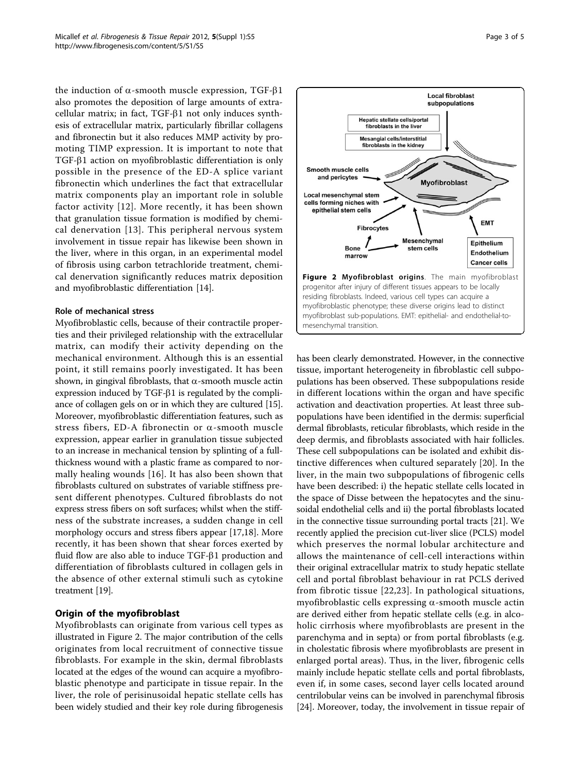the induction of  $\alpha$ -smooth muscle expression, TGF- $\beta$ 1 also promotes the deposition of large amounts of extracellular matrix; in fact, TGF- $\beta$ 1 not only induces synthesis of extracellular matrix, particularly fibrillar collagens and fibronectin but it also reduces MMP activity by promoting TIMP expression. It is important to note that TGF-b1 action on myofibroblastic differentiation is only possible in the presence of the ED-A splice variant fibronectin which underlines the fact that extracellular matrix components play an important role in soluble factor activity [[12](#page-4-0)]. More recently, it has been shown that granulation tissue formation is modified by chemical denervation [[13](#page-4-0)]. This peripheral nervous system involvement in tissue repair has likewise been shown in the liver, where in this organ, in an experimental model of fibrosis using carbon tetrachloride treatment, chemical denervation significantly reduces matrix deposition and myofibroblastic differentiation [[14](#page-4-0)].

## Role of mechanical stress

Myofibroblastic cells, because of their contractile properties and their privileged relationship with the extracellular matrix, can modify their activity depending on the mechanical environment. Although this is an essential point, it still remains poorly investigated. It has been shown, in gingival fibroblasts, that  $\alpha$ -smooth muscle actin expression induced by  $TGF- $\beta$ 1 is regulated by the compli$ ance of collagen gels on or in which they are cultured [[15](#page-4-0)]. Moreover, myofibroblastic differentiation features, such as stress fibers, ED-A fibronectin or  $\alpha$ -smooth muscle expression, appear earlier in granulation tissue subjected to an increase in mechanical tension by splinting of a fullthickness wound with a plastic frame as compared to normally healing wounds [\[16](#page-4-0)]. It has also been shown that fibroblasts cultured on substrates of variable stiffness present different phenotypes. Cultured fibroblasts do not express stress fibers on soft surfaces; whilst when the stiffness of the substrate increases, a sudden change in cell morphology occurs and stress fibers appear [[17](#page-4-0),[18](#page-4-0)]. More recently, it has been shown that shear forces exerted by fluid flow are also able to induce TGF- $\beta$ 1 production and differentiation of fibroblasts cultured in collagen gels in the absence of other external stimuli such as cytokine treatment [\[19\]](#page-4-0).

# Origin of the myofibroblast

Myofibroblasts can originate from various cell types as illustrated in Figure 2. The major contribution of the cells originates from local recruitment of connective tissue fibroblasts. For example in the skin, dermal fibroblasts located at the edges of the wound can acquire a myofibroblastic phenotype and participate in tissue repair. In the liver, the role of perisinusoidal hepatic stellate cells has been widely studied and their key role during fibrogenesis



has been clearly demonstrated. However, in the connective tissue, important heterogeneity in fibroblastic cell subpopulations has been observed. These subpopulations reside in different locations within the organ and have specific activation and deactivation properties. At least three subpopulations have been identified in the dermis: superficial dermal fibroblasts, reticular fibroblasts, which reside in the deep dermis, and fibroblasts associated with hair follicles. These cell subpopulations can be isolated and exhibit distinctive differences when cultured separately [[20](#page-4-0)]. In the liver, in the main two subpopulations of fibrogenic cells have been described: i) the hepatic stellate cells located in the space of Disse between the hepatocytes and the sinusoidal endothelial cells and ii) the portal fibroblasts located in the connective tissue surrounding portal tracts [[21\]](#page-4-0). We recently applied the precision cut-liver slice (PCLS) model which preserves the normal lobular architecture and allows the maintenance of cell-cell interactions within their original extracellular matrix to study hepatic stellate cell and portal fibroblast behaviour in rat PCLS derived from fibrotic tissue [[22,23\]](#page-4-0). In pathological situations, myofibroblastic cells expressing  $\alpha$ -smooth muscle actin are derived either from hepatic stellate cells (e.g. in alcoholic cirrhosis where myofibroblasts are present in the parenchyma and in septa) or from portal fibroblasts (e.g. in cholestatic fibrosis where myofibroblasts are present in enlarged portal areas). Thus, in the liver, fibrogenic cells mainly include hepatic stellate cells and portal fibroblasts, even if, in some cases, second layer cells located around centrilobular veins can be involved in parenchymal fibrosis [[24\]](#page-4-0). Moreover, today, the involvement in tissue repair of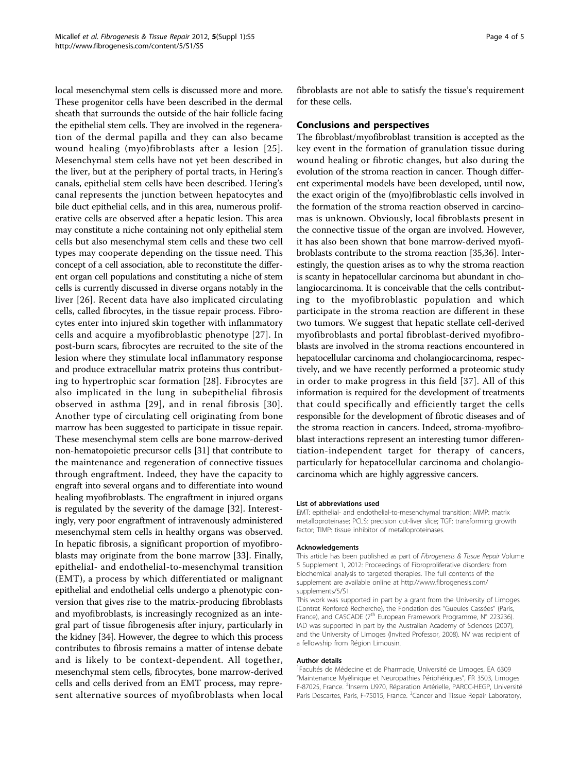local mesenchymal stem cells is discussed more and more. These progenitor cells have been described in the dermal sheath that surrounds the outside of the hair follicle facing the epithelial stem cells. They are involved in the regeneration of the dermal papilla and they can also became wound healing (myo)fibroblasts after a lesion [[25\]](#page-4-0). Mesenchymal stem cells have not yet been described in the liver, but at the periphery of portal tracts, in Hering's canals, epithelial stem cells have been described. Hering's canal represents the junction between hepatocytes and bile duct epithelial cells, and in this area, numerous proliferative cells are observed after a hepatic lesion. This area may constitute a niche containing not only epithelial stem cells but also mesenchymal stem cells and these two cell types may cooperate depending on the tissue need. This concept of a cell association, able to reconstitute the different organ cell populations and constituting a niche of stem cells is currently discussed in diverse organs notably in the liver [[26](#page-4-0)]. Recent data have also implicated circulating cells, called fibrocytes, in the tissue repair process. Fibrocytes enter into injured skin together with inflammatory cells and acquire a myofibroblastic phenotype [[27\]](#page-4-0). In post-burn scars, fibrocytes are recruited to the site of the lesion where they stimulate local inflammatory response and produce extracellular matrix proteins thus contributing to hypertrophic scar formation [[28\]](#page-4-0). Fibrocytes are also implicated in the lung in subepithelial fibrosis observed in asthma [[29](#page-4-0)], and in renal fibrosis [[30\]](#page-4-0). Another type of circulating cell originating from bone marrow has been suggested to participate in tissue repair. These mesenchymal stem cells are bone marrow-derived non-hematopoietic precursor cells [[31](#page-4-0)] that contribute to the maintenance and regeneration of connective tissues through engraftment. Indeed, they have the capacity to engraft into several organs and to differentiate into wound healing myofibroblasts. The engraftment in injured organs is regulated by the severity of the damage [\[32\]](#page-4-0). Interestingly, very poor engraftment of intravenously administered mesenchymal stem cells in healthy organs was observed. In hepatic fibrosis, a significant proportion of myofibroblasts may originate from the bone marrow [[33\]](#page-4-0). Finally, epithelial- and endothelial-to-mesenchymal transition (EMT), a process by which differentiated or malignant epithelial and endothelial cells undergo a phenotypic conversion that gives rise to the matrix-producing fibroblasts and myofibroblasts, is increasingly recognized as an integral part of tissue fibrogenesis after injury, particularly in the kidney [\[34\]](#page-4-0). However, the degree to which this process contributes to fibrosis remains a matter of intense debate and is likely to be context-dependent. All together, mesenchymal stem cells, fibrocytes, bone marrow-derived cells and cells derived from an EMT process, may represent alternative sources of myofibroblasts when local

fibroblasts are not able to satisfy the tissue's requirement for these cells.

## Conclusions and perspectives

The fibroblast/myofibroblast transition is accepted as the key event in the formation of granulation tissue during wound healing or fibrotic changes, but also during the evolution of the stroma reaction in cancer. Though different experimental models have been developed, until now, the exact origin of the (myo)fibroblastic cells involved in the formation of the stroma reaction observed in carcinomas is unknown. Obviously, local fibroblasts present in the connective tissue of the organ are involved. However, it has also been shown that bone marrow-derived myofibroblasts contribute to the stroma reaction [\[35,36](#page-4-0)]. Interestingly, the question arises as to why the stroma reaction is scanty in hepatocellular carcinoma but abundant in cholangiocarcinoma. It is conceivable that the cells contributing to the myofibroblastic population and which participate in the stroma reaction are different in these two tumors. We suggest that hepatic stellate cell-derived myofibroblasts and portal fibroblast-derived myofibroblasts are involved in the stroma reactions encountered in hepatocellular carcinoma and cholangiocarcinoma, respectively, and we have recently performed a proteomic study in order to make progress in this field [[37](#page-4-0)]. All of this information is required for the development of treatments that could specifically and efficiently target the cells responsible for the development of fibrotic diseases and of the stroma reaction in cancers. Indeed, stroma-myofibroblast interactions represent an interesting tumor differentiation-independent target for therapy of cancers, particularly for hepatocellular carcinoma and cholangiocarcinoma which are highly aggressive cancers.

#### List of abbreviations used

EMT: epithelial- and endothelial-to-mesenchymal transition; MMP: matrix metalloproteinase; PCLS: precision cut-liver slice; TGF: transforming growth factor; TIMP: tissue inhibitor of metalloproteinases.

#### Acknowledgements

This article has been published as part of Fibrogenesis & Tissue Repair Volume 5 Supplement 1, 2012: Proceedings of Fibroproliferative disorders: from biochemical analysis to targeted therapies. The full contents of the supplement are available online at [http://www.fibrogenesis.com/](http://www.fibrogenesis.com/supplements/5/S1) [supplements/5/S1.](http://www.fibrogenesis.com/supplements/5/S1)

This work was supported in part by a grant from the University of Limoges (Contrat Renforcé Recherche), the Fondation des "Gueules Cassées" (Paris, France), and CASCADE (7<sup>th</sup> European Framework Programme, N° 223236). IAD was supported in part by the Australian Academy of Sciences (2007), and the University of Limoges (Invited Professor, 2008). NV was recipient of a fellowship from Région Limousin.

#### Author details

<sup>1</sup>Facultés de Médecine et de Pharmacie, Université de Limoges, EA 6309 "Maintenance Myélinique et Neuropathies Périphériques", FR 3503, Limoges F-87025, France. <sup>2</sup>Inserm U970, Réparation Artérielle, PARCC-HEGP, Université Paris Descartes, Paris, F-75015, France. <sup>3</sup>Cancer and Tissue Repair Laboratory